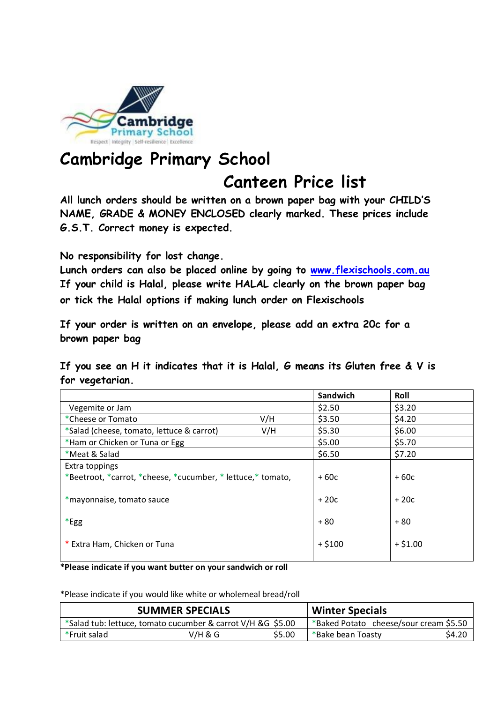

## **Cambridge Primary School Canteen Price list**

**All lunch orders should be written on a brown paper bag with your CHILD'S NAME, GRADE & MONEY ENCLOSED clearly marked. These prices include G.S.T. Correct money is expected.** 

**No responsibility for lost change.** 

**Lunch orders can also be placed online by going to [www.flexischools.com.au](http://www.flexischools.com.au/) If your child is Halal, please write HALAL clearly on the brown paper bag or tick the Halal options if making lunch order on Flexischools**

**If your order is written on an envelope, please add an extra 20c for a brown paper bag**

**If you see an H it indicates that it is Halal, G means its Gluten free & V is for vegetarian.** 

|                                                              |     | Sandwich | Roll      |
|--------------------------------------------------------------|-----|----------|-----------|
| Vegemite or Jam                                              |     | \$2.50   | \$3.20    |
| *Cheese or Tomato                                            | V/H | \$3.50   | \$4.20    |
| *Salad (cheese, tomato, lettuce & carrot)                    | V/H | \$5.30   | \$6.00    |
| *Ham or Chicken or Tuna or Egg                               |     | \$5.00   | \$5.70    |
| *Meat & Salad                                                |     | \$6.50   | \$7.20    |
| Extra toppings                                               |     |          |           |
| *Beetroot, *carrot, *cheese, *cucumber, * lettuce, * tomato, |     | $+60c$   | $+60c$    |
|                                                              |     |          |           |
| *mayonnaise, tomato sauce                                    |     | $+20c$   | $+20c$    |
|                                                              |     |          |           |
| *Egg                                                         |     | $+80$    | $+80$     |
|                                                              |     |          |           |
| * Extra Ham, Chicken or Tuna                                 |     | $+ $100$ | $+ $1.00$ |
|                                                              |     |          |           |

**\*Please indicate if you want butter on your sandwich or roll**

\*Please indicate if you would like white or wholemeal bread/roll

| <b>SUMMER SPECIALS</b> |                                                             |        | <b>Winter Specials</b>                 |        |
|------------------------|-------------------------------------------------------------|--------|----------------------------------------|--------|
|                        | *Salad tub: lettuce, tomato cucumber & carrot V/H &G \$5.00 |        | *Baked Potato cheese/sour cream \$5.50 |        |
| *Fruit salad           | V/H & G                                                     | \$5.00 | *Bake bean Toasty                      | \$4.20 |